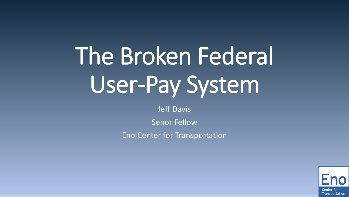# The Broken Federal User-Pay System

Jeff Davis

Senor Fellow

Eno Center for Transportation

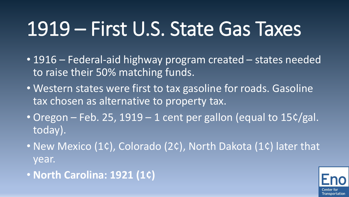#### 1919 – First U.S. State Gas Taxes

- 1916 Federal-aid highway program created states needed to raise their 50% matching funds.
- Western states were first to tax gasoline for roads. Gasoline tax chosen as alternative to property tax.
- Oregon Feb. 25, 1919 1 cent per gallon (equal to 15¢/gal. today).
- New Mexico (1¢), Colorado (2¢), North Dakota (1¢) later that year.
- **North Carolina: 1921 (1¢)**

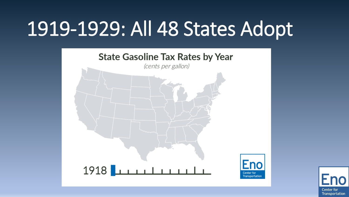### 1919-1929: All 48 States Adopt



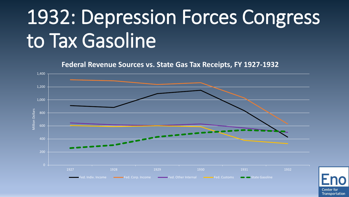# 1932: Depression Forces Congress to Tax Gasoline

**Federal Revenue Sources vs. State Gas Tax Receipts, FY 1927-1932**



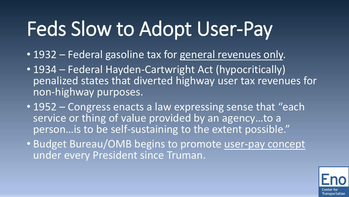# Feds Slow to Adopt User-Pay

- 1932 Federal gasoline tax for general revenues only.
- 1934 Federal Hayden-Cartwright Act (hypocritically) penalized states that diverted highway user tax revenues for non-highway purposes.
- 1952 Congress enacts a law expressing sense that "each service or thing of value provided by an agency…to a person…is to be self-sustaining to the extent possible."
- Budget Bureau/OMB begins to promote user-pay concept under every President since Truman.

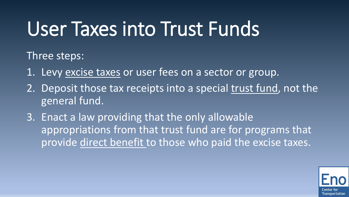#### User Taxes into Trust Funds

Three steps:

- 1. Levy excise taxes or user fees on a sector or group.
- 2. Deposit those tax receipts into a special trust fund, not the general fund.
- 3. Enact a law providing that the only allowable appropriations from that trust fund are for programs that provide direct benefit to those who paid the excise taxes.

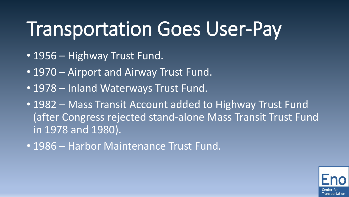#### Transportation Goes User-Pay

- 1956 Highway Trust Fund.
- 1970 Airport and Airway Trust Fund.
- 1978 Inland Waterways Trust Fund.
- 1982 Mass Transit Account added to Highway Trust Fund (after Congress rejected stand-alone Mass Transit Trust Fund in 1978 and 1980).
- 1986 Harbor Maintenance Trust Fund.

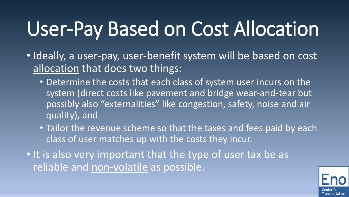# User-Pay Based on Cost Allocation

- Ideally, a user-pay, user-benefit system will be based on cost allocation that does two things:
	- Determine the costs that each class of system user incurs on the system (direct costs like pavement and bridge wear-and-tear but possibly also "externalities" like congestion, safety, noise and air quality), and
	- Tailor the revenue scheme so that the taxes and fees paid by each class of user matches up with the costs they incur.
- It is also very important that the type of user tax be as reliable and non-volatile as possible.

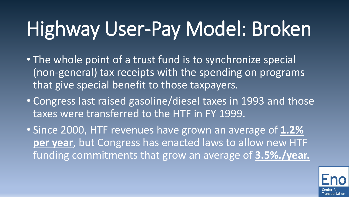- The whole point of a trust fund is to synchronize special (non-general) tax receipts with the spending on programs that give special benefit to those taxpayers.
- Congress last raised gasoline/diesel taxes in 1993 and those taxes were transferred to the HTF in FY 1999.
- Since 2000, HTF revenues have grown an average of **1.2% per year**, but Congress has enacted laws to allow new HTF funding commitments that grow an average of **3.5%./year.**

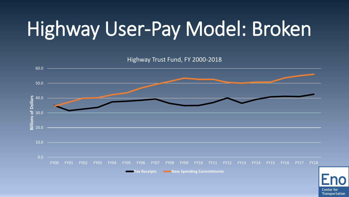Highway Trust Fund, FY 2000-2018 60.0 50.0 **Billions of Dollars Billions of Dollars** 40.0 30.0 20.0 10.0 0.0 FY00 FY01 FY02 FY03 FY04 FY05 FY06 FY07 FY08 FY09 FY10 FY11 FY12 FY13 FY14 FY15 FY16 FY17 FY18 **Tax Receipts New Spending Commitments**

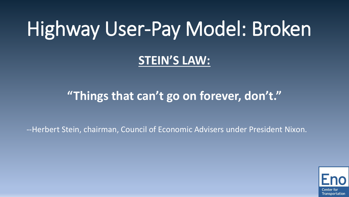#### **STEIN'S LAW:**

#### **"Things that can't go on forever, don't."**

--Herbert Stein, chairman, Council of Economic Advisers under President Nixon.

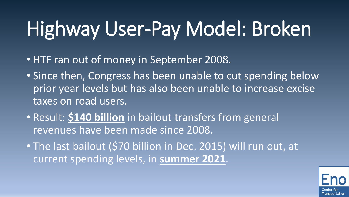- HTF ran out of money in September 2008.
- Since then, Congress has been unable to cut spending below prior year levels but has also been unable to increase excise taxes on road users.
- Result: **\$140 billion** in bailout transfers from general revenues have been made since 2008.
- The last bailout (\$70 billion in Dec. 2015) will run out, at current spending levels, in **summer 2021**.

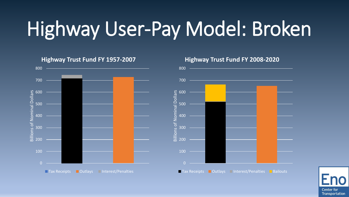

#### **Highway Trust Fund FY 1957-2007**



#### **Highway Trust Fund FY 2008-2020**

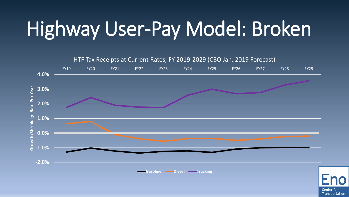

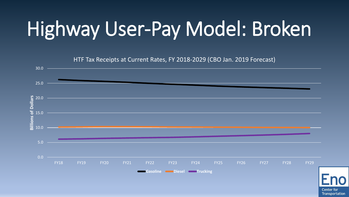

**Center for** Transportation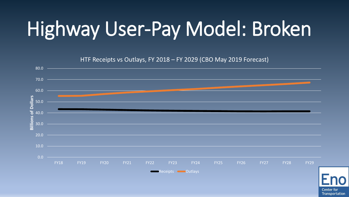HTF Receipts vs Outlays, FY 2018 – FY 2029 (CBO May 2019 Forecast) 80.0 70.0 60.0 **Billions of Dollars Billions of Dollars** 50.0 40.0 30.0 20.0  $10.0 -$ 0.0 FY18 FY19 FY20 FY21 FY22 FY23 FY24 FY25 FY26 FY27 FY28 FY29 Receipts **COUTER** 

> **Center for** Transportation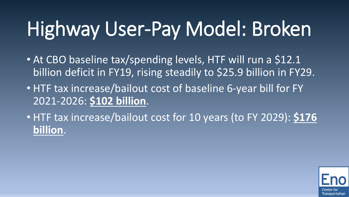- At CBO baseline tax/spending levels, HTF will run a \$12.1 billion deficit in FY19, rising steadily to \$25.9 billion in FY29.
- HTF tax increase/bailout cost of baseline 6-year bill for FY 2021-2026: **\$102 billion**.
- HTF tax increase/bailout cost for 10 years (to FY 2029): **\$176 billion**.

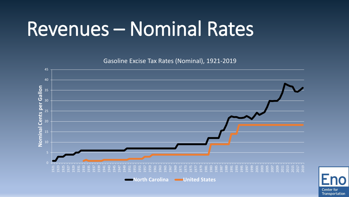#### Revenues – Nominal Rates

Gasoline Excise Tax Rates (Nominal), 1921-2019



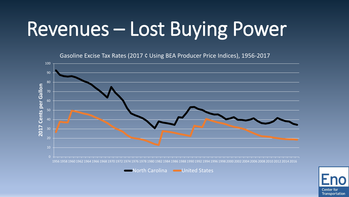# Revenues – Lost Buying Power

Gasoline Excise Tax Rates (2017 ¢ Using BEA Producer Price Indices), 1956-2017



**North Carolina Community Constraints** 

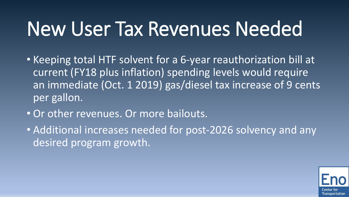#### New User Tax Revenues Needed

- Keeping total HTF solvent for a 6-year reauthorization bill at current (FY18 plus inflation) spending levels would require an immediate (Oct. 1 2019) gas/diesel tax increase of 9 cents per gallon.
- Or other revenues. Or more bailouts.
- Additional increases needed for post-2026 solvency and any desired program growth.

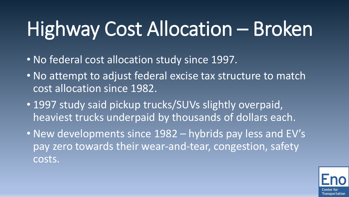# Highway Cost Allocation – Broken

- No federal cost allocation study since 1997.
- No attempt to adjust federal excise tax structure to match cost allocation since 1982.
- 1997 study said pickup trucks/SUVs slightly overpaid, heaviest trucks underpaid by thousands of dollars each.
- New developments since 1982 hybrids pay less and EV's pay zero towards their wear-and-tear, congestion, safety costs.

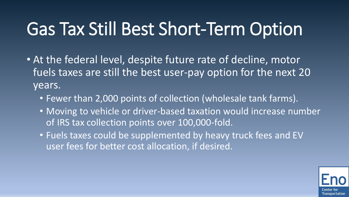#### Gas Tax Still Best Short-Term Option

- At the federal level, despite future rate of decline, motor fuels taxes are still the best user-pay option for the next 20 years.
	- Fewer than 2,000 points of collection (wholesale tank farms).
	- Moving to vehicle or driver-based taxation would increase number of IRS tax collection points over 100,000-fold.
	- Fuels taxes could be supplemented by heavy truck fees and EV user fees for better cost allocation, if desired.

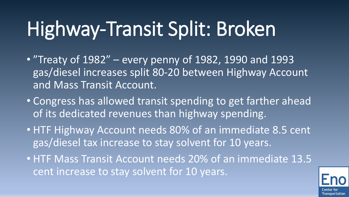# Highway-Transit Split: Broken

- "Treaty of 1982" every penny of 1982, 1990 and 1993 gas/diesel increases split 80-20 between Highway Account and Mass Transit Account.
- Congress has allowed transit spending to get farther ahead of its dedicated revenues than highway spending.
- HTF Highway Account needs 80% of an immediate 8.5 cent gas/diesel tax increase to stay solvent for 10 years.
- HTF Mass Transit Account needs 20% of an immediate 13.5 cent increase to stay solvent for 10 years.

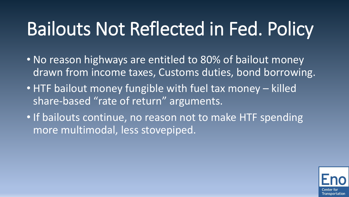#### Bailouts Not Reflected in Fed. Policy

- No reason highways are entitled to 80% of bailout money drawn from income taxes, Customs duties, bond borrowing.
- HTF bailout money fungible with fuel tax money killed share-based "rate of return" arguments.
- If bailouts continue, no reason not to make HTF spending more multimodal, less stovepiped.

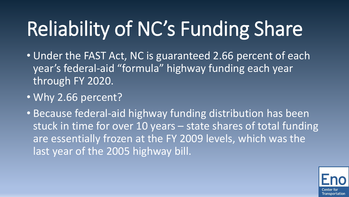# Reliability of NC's Funding Share

- Under the FAST Act, NC is guaranteed 2.66 percent of each year's federal-aid "formula" highway funding each year through FY 2020.
- Why 2.66 percent?
- Because federal-aid highway funding distribution has been stuck in time for over 10 years – state shares of total funding are essentially frozen at the FY 2009 levels, which was the last year of the 2005 highway bill.

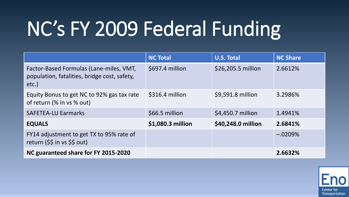# NC's FY 2009 Federal Funding

|                                                                                                     | <b>NC Total</b>   | <b>U.S. Total</b>  | <b>NC Share</b> |
|-----------------------------------------------------------------------------------------------------|-------------------|--------------------|-----------------|
| Factor-Based Formulas (Lane-miles, VMT,<br>population, fatalities, bridge cost, safety,<br>$etc.$ ) | \$697.4 million   | \$26,205.5 million | 2.6612%         |
| Equity Bonus to get NC to 92% gas tax rate<br>of return (% in vs % out)                             | \$316.4 million   | \$9,591.8 million  | 3.2986%         |
| <b>SAFETEA-LU Earmarks</b>                                                                          | \$66.5 million    | \$4,450.7 million  | 1.4941%         |
| <b>EQUALS</b>                                                                                       | \$1,080.3 million | \$40,248.0 million | 2.6841%         |
| FY14 adjustment to get TX to 95% rate of<br>return (\$\$ in vs \$\$ out)                            |                   |                    | $-.0209%$       |
| NC guaranteed share for FY 2015-2020                                                                |                   |                    | 2.6632%         |

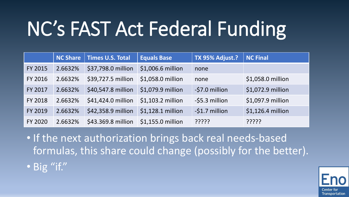# NC's FAST Act Federal Funding

|                | <b>NC Share</b> | Times U.S. Total   | <b>Equals Base</b> | TX 95% Adjust.? | <b>NC Final</b>   |
|----------------|-----------------|--------------------|--------------------|-----------------|-------------------|
| <b>FY 2015</b> | 2.6632%         | \$37,798.0 million | \$1,006.6 million  | none            |                   |
| <b>FY 2016</b> | 2.6632%         | \$39,727.5 million | \$1,058.0 million  | none            | \$1,058.0 million |
| FY 2017        | 2.6632%         | \$40,547.8 million | \$1,079.9 million  | -\$7.0 million  | \$1,072.9 million |
| <b>FY 2018</b> | 2.6632%         | \$41,424.0 million | \$1,103.2 million  | -\$5.3 million  | \$1,097.9 million |
| <b>FY 2019</b> | 2.6632%         | \$42,358.9 million | \$1,128.1 million  | -\$1.7 million  | \$1,126.4 million |
| <b>FY 2020</b> | 2.6632%         | \$43.369.8 million | \$1,155.0 million  | ַיִּיִיִּיִ     | ?????             |

- If the next authorization brings back real needs-based formulas, this share could change (possibly for the better).
- Big "if."

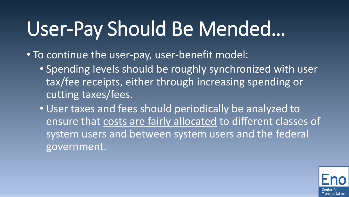# User-Pay Should Be Mended…

• To continue the user-pay, user-benefit model:

• Spending levels should be roughly synchronized with user tax/fee receipts, either through increasing spending or cutting taxes/fees.

• User taxes and fees should periodically be analyzed to ensure that costs are fairly allocated to different classes of system users and between system users and the federal government.